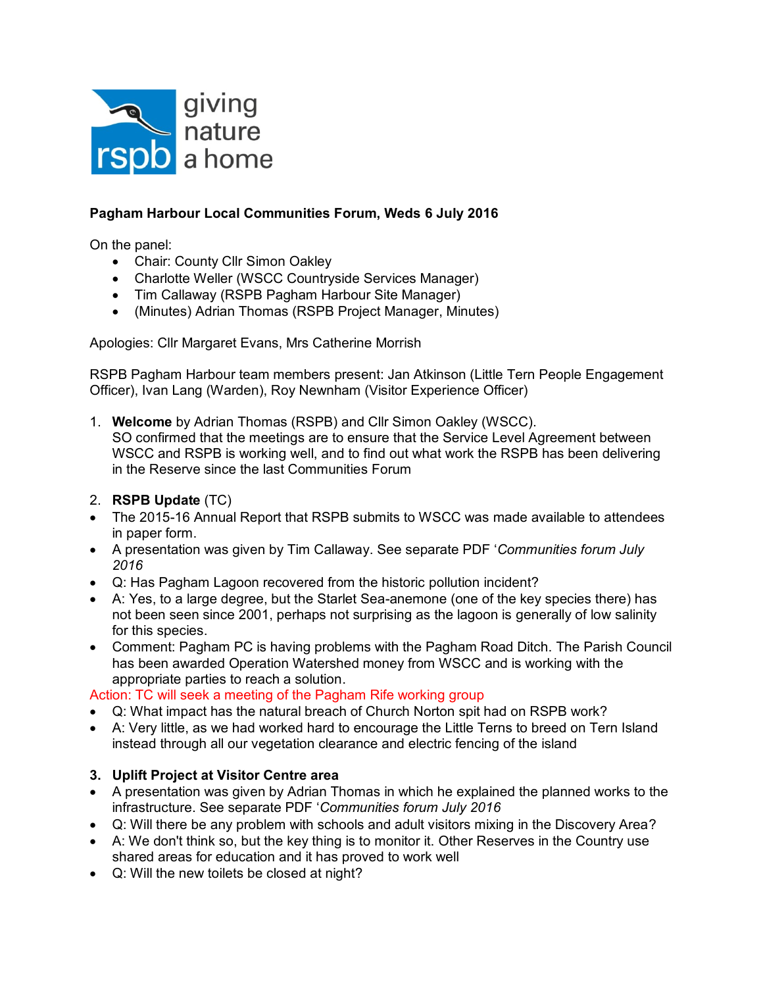

# **Pagham Harbour Local Communities Forum, Weds 6 July 2016**

On the panel:

- Chair: County Cllr Simon Oakley
- Charlotte Weller (WSCC Countryside Services Manager)
- Tim Callaway (RSPB Pagham Harbour Site Manager)
- (Minutes) Adrian Thomas (RSPB Project Manager, Minutes)

Apologies: Cllr Margaret Evans, Mrs Catherine Morrish

RSPB Pagham Harbour team members present: Jan Atkinson (Little Tern People Engagement Officer), Ivan Lang (Warden), Roy Newnham (Visitor Experience Officer)

- 1. **Welcome** by Adrian Thomas (RSPB) and Cllr Simon Oakley (WSCC). SO confirmed that the meetings are to ensure that the Service Level Agreement between WSCC and RSPB is working well, and to find out what work the RSPB has been delivering in the Reserve since the last Communities Forum
- 2. **RSPB Update** (TC)
- The 2015-16 Annual Report that RSPB submits to WSCC was made available to attendees in paper form.
- A presentation was given by Tim Callaway. See separate PDF '*Communities forum July 2016*
- Q: Has Pagham Lagoon recovered from the historic pollution incident?
- A: Yes, to a large degree, but the Starlet Sea-anemone (one of the key species there) has not been seen since 2001, perhaps not surprising as the lagoon is generally of low salinity for this species.
- Comment: Pagham PC is having problems with the Pagham Road Ditch. The Parish Council has been awarded Operation Watershed money from WSCC and is working with the appropriate parties to reach a solution.

## Action: TC will seek a meeting of the Pagham Rife working group

- Q: What impact has the natural breach of Church Norton spit had on RSPB work?
- A: Very little, as we had worked hard to encourage the Little Terns to breed on Tern Island instead through all our vegetation clearance and electric fencing of the island

# **3. Uplift Project at Visitor Centre area**

- A presentation was given by Adrian Thomas in which he explained the planned works to the infrastructure. See separate PDF '*Communities forum July 2016*
- Q: Will there be any problem with schools and adult visitors mixing in the Discovery Area?
- A: We don't think so, but the key thing is to monitor it. Other Reserves in the Country use shared areas for education and it has proved to work well
- Q: Will the new toilets be closed at night?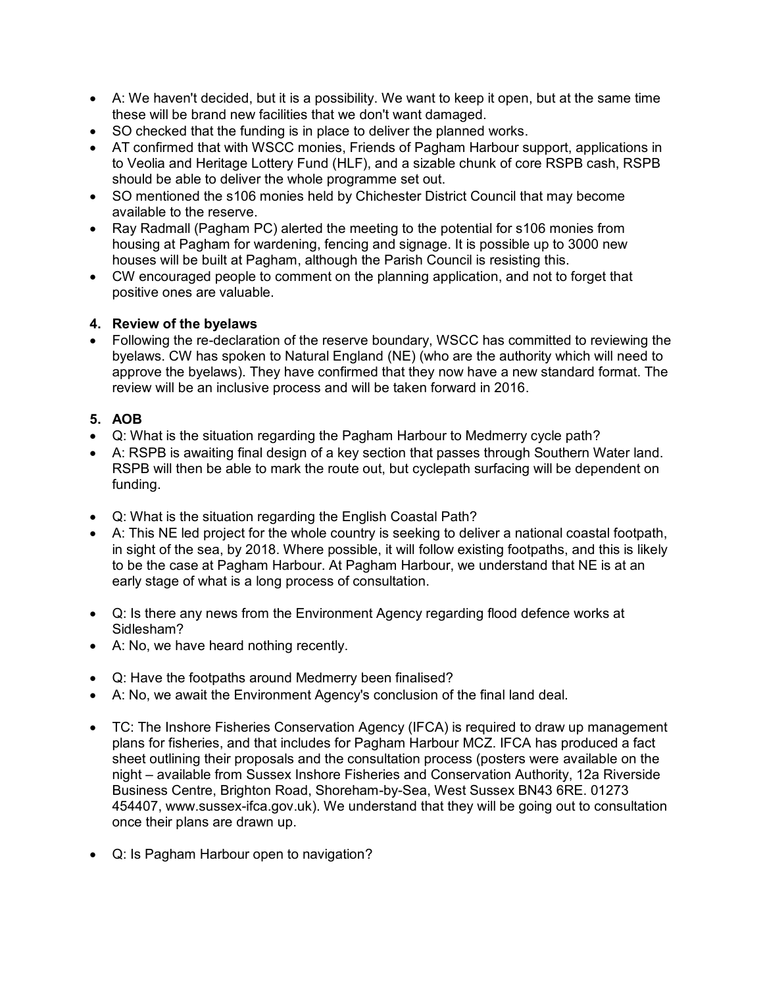- A: We haven't decided, but it is a possibility. We want to keep it open, but at the same time these will be brand new facilities that we don't want damaged.
- SO checked that the funding is in place to deliver the planned works.
- AT confirmed that with WSCC monies, Friends of Pagham Harbour support, applications in to Veolia and Heritage Lottery Fund (HLF), and a sizable chunk of core RSPB cash, RSPB should be able to deliver the whole programme set out.
- SO mentioned the s106 monies held by Chichester District Council that may become available to the reserve.
- Ray Radmall (Pagham PC) alerted the meeting to the potential for s106 monies from housing at Pagham for wardening, fencing and signage. It is possible up to 3000 new houses will be built at Pagham, although the Parish Council is resisting this.
- CW encouraged people to comment on the planning application, and not to forget that positive ones are valuable.

# **4. Review of the byelaws**

 Following the re-declaration of the reserve boundary, WSCC has committed to reviewing the byelaws. CW has spoken to Natural England (NE) (who are the authority which will need to approve the byelaws). They have confirmed that they now have a new standard format. The review will be an inclusive process and will be taken forward in 2016.

# **5. AOB**

- Q: What is the situation regarding the Pagham Harbour to Medmerry cycle path?
- A: RSPB is awaiting final design of a key section that passes through Southern Water land. RSPB will then be able to mark the route out, but cyclepath surfacing will be dependent on funding.
- Q: What is the situation regarding the English Coastal Path?
- A: This NE led project for the whole country is seeking to deliver a national coastal footpath, in sight of the sea, by 2018. Where possible, it will follow existing footpaths, and this is likely to be the case at Pagham Harbour. At Pagham Harbour, we understand that NE is at an early stage of what is a long process of consultation.
- Q: Is there any news from the Environment Agency regarding flood defence works at Sidlesham?
- A: No, we have heard nothing recently.
- Q: Have the footpaths around Medmerry been finalised?
- A: No, we await the Environment Agency's conclusion of the final land deal.
- TC: The Inshore Fisheries Conservation Agency (IFCA) is required to draw up management plans for fisheries, and that includes for Pagham Harbour MCZ. IFCA has produced a fact sheet outlining their proposals and the consultation process (posters were available on the night – available from Sussex Inshore Fisheries and Conservation Authority, 12a Riverside Business Centre, Brighton Road, Shoreham-by-Sea, West Sussex BN43 6RE. 01273 454407, www.sussex-ifca.gov.uk). We understand that they will be going out to consultation once their plans are drawn up.
- Q: Is Pagham Harbour open to navigation?